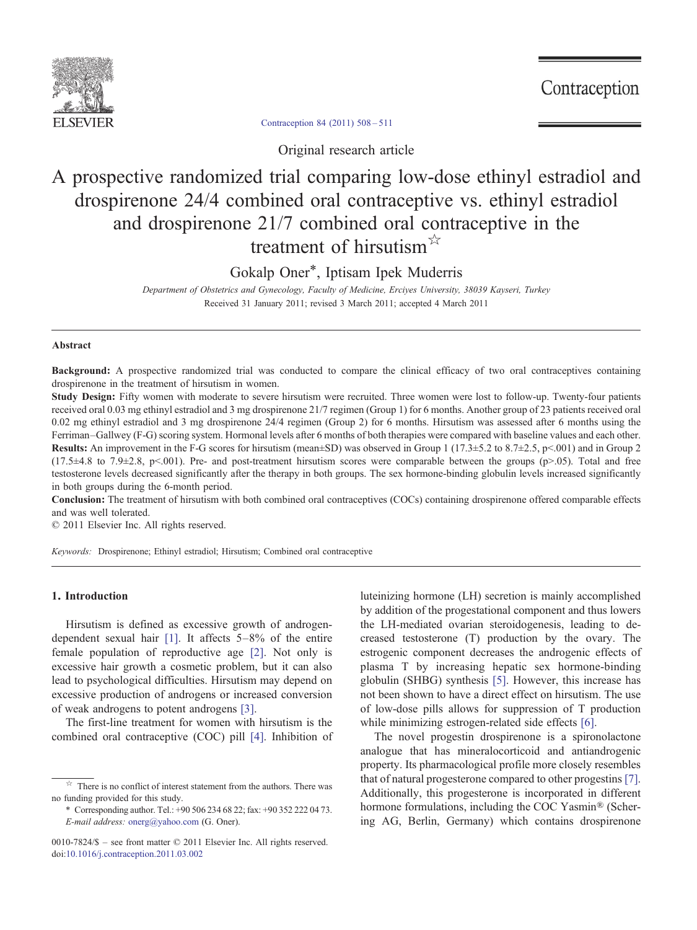

Contraception

[Contraception 84 \(2011\) 508](http://dx.doi.org/10.1016/j.contraception.2011.03.002)–511

Original research article

# A prospective randomized trial comparing low-dose ethinyl estradiol and drospirenone 24/4 combined oral contraceptive vs. ethinyl estradiol and drospirenone 21/7 combined oral contraceptive in the treatment of hirsutism<sup>☆</sup>

Gokalp Oner\*, Iptisam Ipek Muderris

Department of Obstetrics and Gynecology, Faculty of Medicine, Erciyes University, 38039 Kayseri, Turkey Received 31 January 2011; revised 3 March 2011; accepted 4 March 2011

#### Abstract

Background: A prospective randomized trial was conducted to compare the clinical efficacy of two oral contraceptives containing drospirenone in the treatment of hirsutism in women.

Study Design: Fifty women with moderate to severe hirsutism were recruited. Three women were lost to follow-up. Twenty-four patients received oral 0.03 mg ethinyl estradiol and 3 mg drospirenone 21/7 regimen (Group 1) for 6 months. Another group of 23 patients received oral 0.02 mg ethinyl estradiol and 3 mg drospirenone 24/4 regimen (Group 2) for 6 months. Hirsutism was assessed after 6 months using the Ferriman–Gallwey (F-G) scoring system. Hormonal levels after 6 months of both therapies were compared with baseline values and each other. Results: An improvement in the F-G scores for hirsutism (mean±SD) was observed in Group 1 (17.3±5.2 to 8.7±2.5, p<.001) and in Group 2  $(17.5\pm4.8 \text{ to } 7.9\pm2.8, \text{ p}\leq 0.01)$ . Pre- and post-treatment hirsutism scores were comparable between the groups (p>.05). Total and free testosterone levels decreased significantly after the therapy in both groups. The sex hormone-binding globulin levels increased significantly in both groups during the 6-month period.

Conclusion: The treatment of hirsutism with both combined oral contraceptives (COCs) containing drospirenone offered comparable effects and was well tolerated.

© 2011 Elsevier Inc. All rights reserved.

Keywords: Drospirenone; Ethinyl estradiol; Hirsutism; Combined oral contraceptive

## 1. Introduction

Hirsutism is defined as excessive growth of androgendependent sexual hair [\[1\].](#page-3-0) It affects 5–8% of the entire female population of reproductive age [\[2\].](#page-3-0) Not only is excessive hair growth a cosmetic problem, but it can also lead to psychological difficulties. Hirsutism may depend on excessive production of androgens or increased conversion of weak androgens to potent androgens [\[3\].](#page-3-0)

The first-line treatment for women with hirsutism is the combined oral contraceptive (COC) pill [\[4\].](#page-3-0) Inhibition of

⁎ Corresponding author. Tel.: +90 506 234 68 22; fax: +90 352 222 04 73. E-mail address: [onerg@yahoo.com](mailto:onerg@yahoo.com) (G. Oner).

luteinizing hormone (LH) secretion is mainly accomplished by addition of the progestational component and thus lowers the LH-mediated ovarian steroidogenesis, leading to decreased testosterone (T) production by the ovary. The estrogenic component decreases the androgenic effects of plasma T by increasing hepatic sex hormone-binding globulin (SHBG) synthesis [\[5\]](#page-3-0). However, this increase has not been shown to have a direct effect on hirsutism. The use of low-dose pills allows for suppression of T production while minimizing estrogen-related side effects [\[6\]](#page-3-0).

The novel progestin drospirenone is a spironolactone analogue that has mineralocorticoid and antiandrogenic property. Its pharmacological profile more closely resembles that of natural progesterone compared to other progestins [\[7\].](#page-3-0) Additionally, this progesterone is incorporated in different hormone formulations, including the COC Yasmin® (Schering AG, Berlin, Germany) which contains drospirenone

 $\overrightarrow{r}$  There is no conflict of interest statement from the authors. There was no funding provided for this study.

<sup>0010-7824/\$</sup> – see front matter © 2011 Elsevier Inc. All rights reserved. doi[:10.1016/j.contraception.2011.03.002](http://dx.doi.org/10.1016/j.contraception.2011.03.002)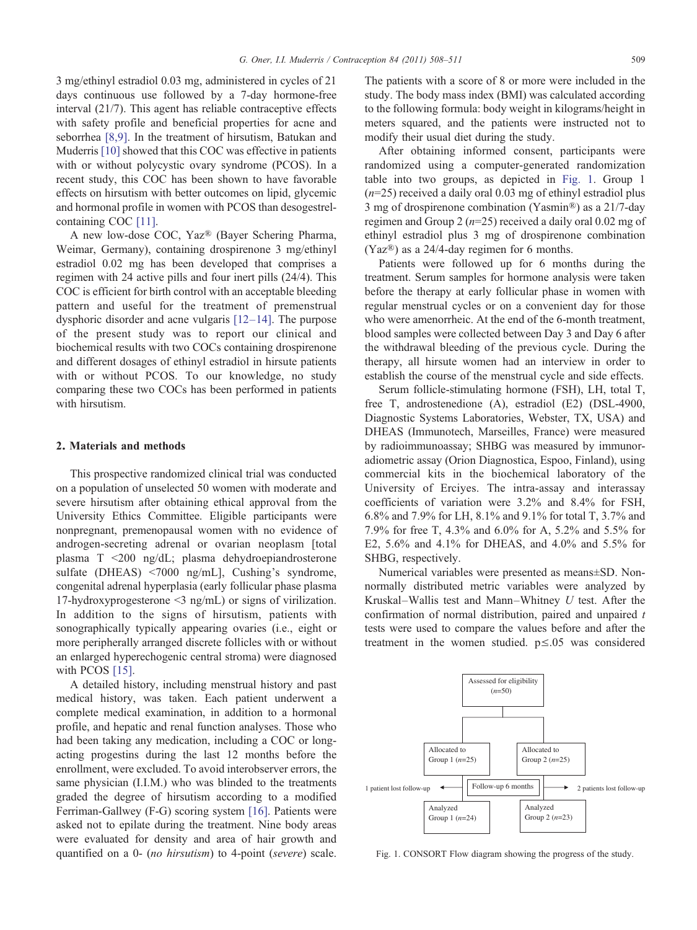3 mg/ethinyl estradiol 0.03 mg, administered in cycles of 21 days continuous use followed by a 7-day hormone-free interval (21/7). This agent has reliable contraceptive effects with safety profile and beneficial properties for acne and seborrhea [\[8,9\].](#page-3-0) In the treatment of hirsutism, Batukan and Muderris [\[10\]](#page-3-0) showed that this COC was effective in patients with or without polycystic ovary syndrome (PCOS). In a recent study, this COC has been shown to have favorable effects on hirsutism with better outcomes on lipid, glycemic and hormonal profile in women with PCOS than desogestrelcontaining COC [\[11\]](#page-3-0).

A new low-dose COC, Yaz® (Bayer Schering Pharma, Weimar, Germany), containing drospirenone 3 mg/ethinyl estradiol 0.02 mg has been developed that comprises a regimen with 24 active pills and four inert pills (24/4). This COC is efficient for birth control with an acceptable bleeding pattern and useful for the treatment of premenstrual dysphoric disorder and acne vulgaris [\[12](#page-3-0)–14]. The purpose of the present study was to report our clinical and biochemical results with two COCs containing drospirenone and different dosages of ethinyl estradiol in hirsute patients with or without PCOS. To our knowledge, no study comparing these two COCs has been performed in patients with hirsutism.

## 2. Materials and methods

This prospective randomized clinical trial was conducted on a population of unselected 50 women with moderate and severe hirsutism after obtaining ethical approval from the University Ethics Committee. Eligible participants were nonpregnant, premenopausal women with no evidence of androgen-secreting adrenal or ovarian neoplasm [total plasma  $T \le 200$  ng/dL; plasma dehydroepiandrosterone sulfate (DHEAS)  $\leq 7000$  ng/mL], Cushing's syndrome, congenital adrenal hyperplasia (early follicular phase plasma 17-hydroxyprogesterone  $\leq$ 3 ng/mL) or signs of virilization. In addition to the signs of hirsutism, patients with sonographically typically appearing ovaries (i.e., eight or more peripherally arranged discrete follicles with or without an enlarged hyperechogenic central stroma) were diagnosed with PCOS [\[15\].](#page-3-0)

A detailed history, including menstrual history and past medical history, was taken. Each patient underwent a complete medical examination, in addition to a hormonal profile, and hepatic and renal function analyses. Those who had been taking any medication, including a COC or longacting progestins during the last 12 months before the enrollment, were excluded. To avoid interobserver errors, the same physician (I.I.M.) who was blinded to the treatments graded the degree of hirsutism according to a modified Ferriman-Gallwey (F-G) scoring system [\[16\]](#page-3-0). Patients were asked not to epilate during the treatment. Nine body areas were evaluated for density and area of hair growth and quantified on a 0- (no hirsutism) to 4-point (severe) scale.

The patients with a score of 8 or more were included in the study. The body mass index (BMI) was calculated according to the following formula: body weight in kilograms/height in meters squared, and the patients were instructed not to modify their usual diet during the study.

After obtaining informed consent, participants were randomized using a computer-generated randomization table into two groups, as depicted in Fig. 1. Group 1  $(n=25)$  received a daily oral 0.03 mg of ethinyl estradiol plus 3 mg of drospirenone combination (Yasmin®) as a 21/7-day regimen and Group 2 ( $n=25$ ) received a daily oral 0.02 mg of ethinyl estradiol plus 3 mg of drospirenone combination (Yaz®) as a 24/4-day regimen for 6 months.

Patients were followed up for 6 months during the treatment. Serum samples for hormone analysis were taken before the therapy at early follicular phase in women with regular menstrual cycles or on a convenient day for those who were amenorrheic. At the end of the 6-month treatment, blood samples were collected between Day 3 and Day 6 after the withdrawal bleeding of the previous cycle. During the therapy, all hirsute women had an interview in order to establish the course of the menstrual cycle and side effects.

Serum follicle-stimulating hormone (FSH), LH, total T, free T, androstenedione (A), estradiol (E2) (DSL-4900, Diagnostic Systems Laboratories, Webster, TX, USA) and DHEAS (Immunotech, Marseilles, France) were measured by radioimmunoassay; SHBG was measured by immunoradiometric assay (Orion Diagnostica, Espoo, Finland), using commercial kits in the biochemical laboratory of the University of Erciyes. The intra-assay and interassay coefficients of variation were 3.2% and 8.4% for FSH, 6.8% and 7.9% for LH, 8.1% and 9.1% for total T, 3.7% and 7.9% for free T, 4.3% and 6.0% for A, 5.2% and 5.5% for E2, 5.6% and 4.1% for DHEAS, and 4.0% and 5.5% for SHBG, respectively.

Numerical variables were presented as means±SD. Nonnormally distributed metric variables were analyzed by Kruskal–Wallis test and Mann–Whitney  $U$  test. After the confirmation of normal distribution, paired and unpaired  $t$ tests were used to compare the values before and after the treatment in the women studied. p≤.05 was considered



Fig. 1. CONSORT Flow diagram showing the progress of the study.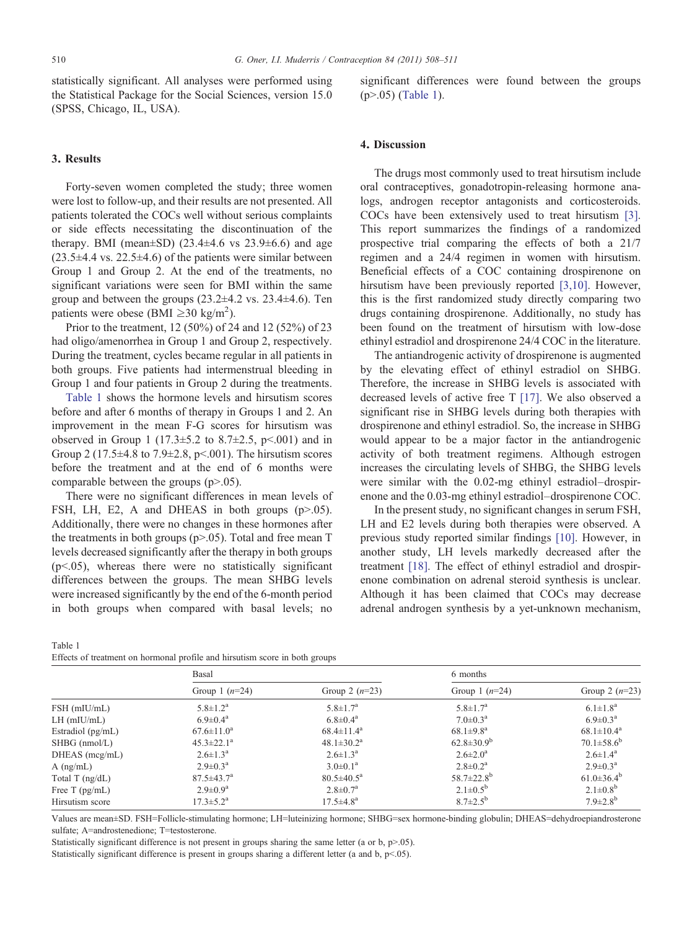statistically significant. All analyses were performed using the Statistical Package for the Social Sciences, version 15.0 (SPSS, Chicago, IL, USA).

## 3. Results

Forty-seven women completed the study; three women were lost to follow-up, and their results are not presented. All patients tolerated the COCs well without serious complaints or side effects necessitating the discontinuation of the therapy. BMI (mean $\pm$ SD) (23.4 $\pm$ 4.6 vs 23.9 $\pm$ 6.6) and age  $(23.5\pm4.4 \text{ vs. } 22.5\pm4.6)$  of the patients were similar between Group 1 and Group 2. At the end of the treatments, no significant variations were seen for BMI within the same group and between the groups  $(23.2\pm4.2 \text{ vs. } 23.4\pm4.6)$ . Ten patients were obese (BMI  $\geq$ 30 kg/m<sup>2</sup>).

Prior to the treatment, 12 (50%) of 24 and 12 (52%) of 23 had oligo/amenorrhea in Group 1 and Group 2, respectively. During the treatment, cycles became regular in all patients in both groups. Five patients had intermenstrual bleeding in Group 1 and four patients in Group 2 during the treatments.

Table 1 shows the hormone levels and hirsutism scores before and after 6 months of therapy in Groups 1 and 2. An improvement in the mean F-G scores for hirsutism was observed in Group 1 (17.3 $\pm$ 5.2 to 8.7 $\pm$ 2.5, p<.001) and in Group 2 (17.5 $\pm$ 4.8 to 7.9 $\pm$ 2.8, p<.001). The hirsutism scores before the treatment and at the end of 6 months were comparable between the groups  $(p>0.05)$ .

There were no significant differences in mean levels of FSH, LH, E2, A and DHEAS in both groups  $(p>0.05)$ . Additionally, there were no changes in these hormones after the treatments in both groups ( $p$ >.05). Total and free mean T levels decreased significantly after the therapy in both groups  $(p<.05)$ , whereas there were no statistically significant differences between the groups. The mean SHBG levels were increased significantly by the end of the 6-month period in both groups when compared with basal levels; no

| Table 1 |                                                                             |  |  |  |  |
|---------|-----------------------------------------------------------------------------|--|--|--|--|
|         | Effects of treatment on hormonal profile and hirsutism score in both groups |  |  |  |  |

significant differences were found between the groups  $(p > .05)$  (Table 1).

#### 4. Discussion

The drugs most commonly used to treat hirsutism include oral contraceptives, gonadotropin-releasing hormone analogs, androgen receptor antagonists and corticosteroids. COCs have been extensively used to treat hirsutism [\[3\].](#page-3-0) This report summarizes the findings of a randomized prospective trial comparing the effects of both a 21/7 regimen and a 24/4 regimen in women with hirsutism. Beneficial effects of a COC containing drospirenone on hirsutism have been previously reported [\[3,10\].](#page-3-0) However, this is the first randomized study directly comparing two drugs containing drospirenone. Additionally, no study has been found on the treatment of hirsutism with low-dose ethinyl estradiol and drospirenone 24/4 COC in the literature.

The antiandrogenic activity of drospirenone is augmented by the elevating effect of ethinyl estradiol on SHBG. Therefore, the increase in SHBG levels is associated with decreased levels of active free T [\[17\].](#page-3-0) We also observed a significant rise in SHBG levels during both therapies with drospirenone and ethinyl estradiol. So, the increase in SHBG would appear to be a major factor in the antiandrogenic activity of both treatment regimens. Although estrogen increases the circulating levels of SHBG, the SHBG levels were similar with the 0.02-mg ethinyl estradiol–drospirenone and the 0.03-mg ethinyl estradiol–drospirenone COC.

In the present study, no significant changes in serum FSH, LH and E2 levels during both therapies were observed. A previous study reported similar findings [\[10\].](#page-3-0) However, in another study, LH levels markedly decreased after the treatment [\[18\]](#page-3-0). The effect of ethinyl estradiol and drospirenone combination on adrenal steroid synthesis is unclear. Although it has been claimed that COCs may decrease adrenal androgen synthesis by a yet-unknown mechanism,

|                     | Basal                        |                              | 6 months                     |                            |  |  |
|---------------------|------------------------------|------------------------------|------------------------------|----------------------------|--|--|
|                     | Group 1 $(n=24)$             | Group 2 $(n=23)$             | Group 1 $(n=24)$             | Group 2 $(n=23)$           |  |  |
| $FSH$ (mIU/mL)      | $5.8 \pm 1.2^{\rm a}$        | $5.8 \pm 1.7^{\rm a}$        | $5.8 \pm 1.7^{\rm a}$        | $6.1 \pm 1.8^a$            |  |  |
| $LH$ (mIU/mL)       | $6.9 \pm 0.4^{\rm a}$        | $6.8 \pm 0.4^{\rm a}$        | $7.0 \pm 0.3^{\rm a}$        | $6.9 \pm 0.3^{\text{a}}$   |  |  |
| Estradiol $(pg/mL)$ | $67.6 \pm 11.0^a$            | $68.4 \pm 11.4^a$            | $68.1 \pm 9.8$ <sup>a</sup>  | $68.1 \pm 10.4^{\rm a}$    |  |  |
| $SHBG$ (nmol/L)     | $45.3 \pm 22.1^a$            | $48.1 \pm 30.2^{\rm a}$      | $62.8 \pm 30.9^b$            | $70.1 \pm 58.6^b$          |  |  |
| $DHEAS$ (mcg/mL)    | $2.6 \pm 1.3^{\text{a}}$     | $2.6 \pm 1.3^{\rm a}$        | $2.6 \pm 2.0^a$              | $2.6 \pm 1.4^{\rm a}$      |  |  |
| $A$ (ng/mL)         | $2.9 \pm 0.3^{\text{a}}$     | $3.0 \pm 0.1^a$              | $2.8 \pm 0.2^{\rm a}$        | $2.9 \pm 0.3^{\text{a}}$   |  |  |
| Total T $(ng/dL)$   | $87.5 \pm 43.7^{\mathrm{a}}$ | $80.5 \pm 40.5^{\mathrm{a}}$ | 58.7 $\pm$ 22.8 <sup>b</sup> | $61.0 \pm 36.4^b$          |  |  |
| Free T $(pg/mL)$    | $2.9 \pm 0.9^a$              | $2.8 \pm 0.7^{\rm a}$        | $2.1 \pm 0.5^{\rm b}$        | $2.1 \pm 0.8^{\rm b}$      |  |  |
| Hirsutism score     | $17.3 \pm 5.2^{\mathrm{a}}$  | $17.5 \pm 4.8^{\rm a}$       | $8.7 \pm 2.5^{\rm b}$        | $7.9 \pm 2.8$ <sup>b</sup> |  |  |

Values are mean±SD. FSH=Follicle-stimulating hormone; LH=luteinizing hormone; SHBG=sex hormone-binding globulin; DHEAS=dehydroepiandrosterone sulfate; A=androstenedione; T=testosterone.

Statistically significant difference is not present in groups sharing the same letter (a or b,  $p$ >.05).

Statistically significant difference is present in groups sharing a different letter (a and b,  $p<0.05$ ).